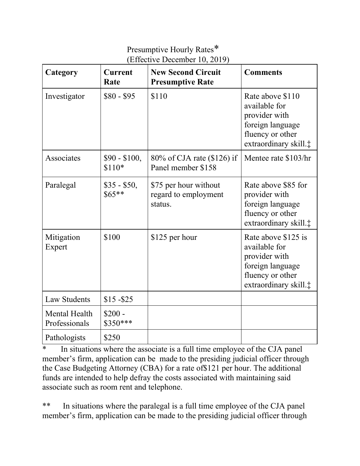Presumptive Hourly Rates\* (Effective December 10, 2019)

| Category                              | <b>Current</b><br>Rate   | <b>New Second Circuit</b><br><b>Presumptive Rate</b>     | <b>Comments</b>                                                                                                                    |
|---------------------------------------|--------------------------|----------------------------------------------------------|------------------------------------------------------------------------------------------------------------------------------------|
| Investigator                          | $$80 - $95$              | \$110                                                    | Rate above \$110<br>available for<br>provider with<br>foreign language<br>fluency or other<br>extraordinary skill.‡                |
| Associates                            | \$90 - \$100,<br>$$110*$ | $80\%$ of CJA rate (\$126) if<br>Panel member \$158      | Mentee rate \$103/hr                                                                                                               |
| Paralegal                             | $$35 - $50,$<br>$$65**$$ | \$75 per hour without<br>regard to employment<br>status. | Rate above \$85 for<br>provider with<br>foreign language<br>fluency or other<br>extraordinary skill.‡                              |
| Mitigation<br>Expert                  | \$100                    | \$125 per hour                                           | Rate above \$125 is<br>available for<br>provider with<br>foreign language<br>fluency or other<br>extraordinary skill. <sup>†</sup> |
| <b>Law Students</b>                   | $$15 - $25$              |                                                          |                                                                                                                                    |
| <b>Mental Health</b><br>Professionals | $$200 -$<br>$$350***$    |                                                          |                                                                                                                                    |
| Pathologists                          | \$250                    |                                                          |                                                                                                                                    |

\* In situations where the associate is a full time employee of the CJA panel member's firm, application can be made to the presiding judicial officer through the Case Budgeting Attorney (CBA) for a rate of\$121 per hour. The additional funds are intended to help defray the costs associated with maintaining said associate such as room rent and telephone.

\*\* In situations where the paralegal is a full time employee of the CJA panel member's firm, application can be made to the presiding judicial officer through